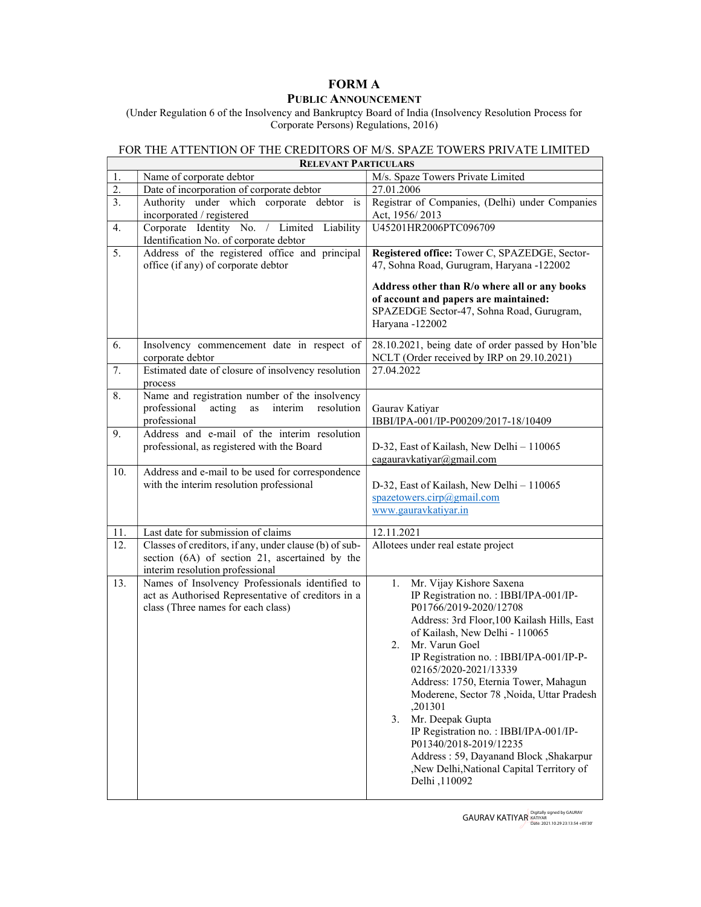## FORM A

## PUBLIC ANNOUNCEMENT

(Under Regulation 6 of the Insolvency and Bankruptcy Board of India (Insolvency Resolution Process for Corporate Persons) Regulations, 2016)

## FOR THE ATTENTION OF THE CREDITORS OF M/S. SPAZE TOWERS PRIVATE LIMITED

 $\mathsf{r}$ 

| <b>RELEVANT PARTICULARS</b> |                                                                                                                                             |                                                                                                                                                                                                                                                                                                                                                                                                                                                                                                                                                                                      |
|-----------------------------|---------------------------------------------------------------------------------------------------------------------------------------------|--------------------------------------------------------------------------------------------------------------------------------------------------------------------------------------------------------------------------------------------------------------------------------------------------------------------------------------------------------------------------------------------------------------------------------------------------------------------------------------------------------------------------------------------------------------------------------------|
| 1.                          | Name of corporate debtor                                                                                                                    | M/s. Spaze Towers Private Limited                                                                                                                                                                                                                                                                                                                                                                                                                                                                                                                                                    |
| 2.                          | Date of incorporation of corporate debtor                                                                                                   | 27.01.2006                                                                                                                                                                                                                                                                                                                                                                                                                                                                                                                                                                           |
| $\overline{3}$ .            | Authority under which corporate debtor<br>is<br>incorporated / registered                                                                   | Registrar of Companies, (Delhi) under Companies<br>Act, 1956/2013                                                                                                                                                                                                                                                                                                                                                                                                                                                                                                                    |
| 4.                          | Corporate Identity No. / Limited Liability<br>Identification No. of corporate debtor                                                        | U45201HR2006PTC096709                                                                                                                                                                                                                                                                                                                                                                                                                                                                                                                                                                |
| 5.                          | Address of the registered office and principal<br>office (if any) of corporate debtor                                                       | Registered office: Tower C, SPAZEDGE, Sector-<br>47, Sohna Road, Gurugram, Haryana -122002<br>Address other than R/o where all or any books<br>of account and papers are maintained:<br>SPAZEDGE Sector-47, Sohna Road, Gurugram,<br>Haryana -122002                                                                                                                                                                                                                                                                                                                                 |
| 6.                          | Insolvency commencement date in respect of<br>corporate debtor                                                                              | 28.10.2021, being date of order passed by Hon'ble<br>NCLT (Order received by IRP on 29.10.2021)                                                                                                                                                                                                                                                                                                                                                                                                                                                                                      |
| 7.                          | Estimated date of closure of insolvency resolution<br>process                                                                               | 27.04.2022                                                                                                                                                                                                                                                                                                                                                                                                                                                                                                                                                                           |
| 8.                          | Name and registration number of the insolvency<br>professional<br>acting<br>interim<br>resolution<br>as<br>professional                     | Gaurav Katiyar<br>IBBI/IPA-001/IP-P00209/2017-18/10409                                                                                                                                                                                                                                                                                                                                                                                                                                                                                                                               |
| 9.                          | Address and e-mail of the interim resolution<br>professional, as registered with the Board                                                  | D-32, East of Kailash, New Delhi - 110065<br>cagauravkatiyar@gmail.com                                                                                                                                                                                                                                                                                                                                                                                                                                                                                                               |
| 10.                         | Address and e-mail to be used for correspondence<br>with the interim resolution professional                                                | D-32, East of Kailash, New Delhi - 110065<br>spazetowers.cirp@gmail.com<br>www.gauravkatiyar.in                                                                                                                                                                                                                                                                                                                                                                                                                                                                                      |
| 11.                         | Last date for submission of claims                                                                                                          | 12.11.2021                                                                                                                                                                                                                                                                                                                                                                                                                                                                                                                                                                           |
| 12.                         | Classes of creditors, if any, under clause (b) of sub-<br>section (6A) of section 21, ascertained by the<br>interim resolution professional | Allotees under real estate project                                                                                                                                                                                                                                                                                                                                                                                                                                                                                                                                                   |
| 13.                         | Names of Insolvency Professionals identified to<br>act as Authorised Representative of creditors in a<br>class (Three names for each class) | Mr. Vijay Kishore Saxena<br>1.<br>IP Registration no.: IBBI/IPA-001/IP-<br>P01766/2019-2020/12708<br>Address: 3rd Floor, 100 Kailash Hills, East<br>of Kailash, New Delhi - 110065<br>Mr. Varun Goel<br>2.<br>IP Registration no.: IBBI/IPA-001/IP-P-<br>02165/2020-2021/13339<br>Address: 1750, Eternia Tower, Mahagun<br>Moderene, Sector 78, Noida, Uttar Pradesh<br>,201301<br>Mr. Deepak Gupta<br>3.<br>IP Registration no.: IBBI/IPA-001/IP-<br>P01340/2018-2019/12235<br>Address: 59, Dayanand Block, Shakarpur<br>,New Delhi,National Capital Territory of<br>Delhi , 110092 |